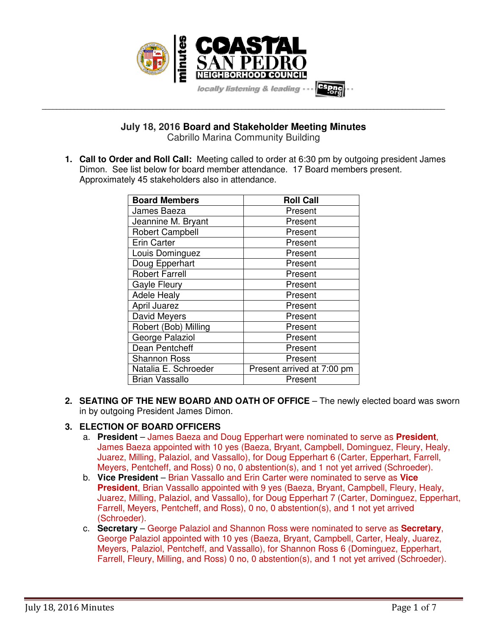

**July 18, 2016 Board and Stakeholder Meeting Minutes**  Cabrillo Marina Community Building

**\_\_\_\_\_\_\_\_\_\_\_\_\_\_\_\_\_\_\_\_\_\_\_\_\_\_\_\_\_\_\_\_\_\_\_\_\_\_\_\_\_\_\_\_\_\_\_\_\_\_\_\_\_\_\_\_\_\_\_\_\_\_\_\_\_\_\_\_\_\_\_\_\_\_\_\_\_\_\_\_\_\_\_\_\_\_\_\_\_\_\_\_\_\_\_\_\_\_\_\_\_\_\_\_\_\_\_\_\_\_\_\_\_** 

**1. Call to Order and Roll Call:** Meeting called to order at 6:30 pm by outgoing president James Dimon. See list below for board member attendance. 17 Board members present. Approximately 45 stakeholders also in attendance.

| <b>Board Members</b>   | <b>Roll Call</b>           |
|------------------------|----------------------------|
| James Baeza            | Present                    |
| Jeannine M. Bryant     | Present                    |
| <b>Robert Campbell</b> | Present                    |
| <b>Erin Carter</b>     | Present                    |
| Louis Dominguez        | Present                    |
| Doug Epperhart         | Present                    |
| <b>Robert Farrell</b>  | Present                    |
| <b>Gayle Fleury</b>    | Present                    |
| <b>Adele Healy</b>     | Present                    |
| April Juarez           | Present                    |
| David Meyers           | Present                    |
| Robert (Bob) Milling   | Present                    |
| George Palaziol        | Present                    |
| Dean Pentcheff         | Present                    |
| <b>Shannon Ross</b>    | Present                    |
| Natalia E. Schroeder   | Present arrived at 7:00 pm |
| Brian Vassallo         | Present                    |

**2. SEATING OF THE NEW BOARD AND OATH OF OFFICE** – The newly elected board was sworn in by outgoing President James Dimon.

# **3. ELECTION OF BOARD OFFICERS**

- a. **President** James Baeza and Doug Epperhart were nominated to serve as **President**, James Baeza appointed with 10 yes (Baeza, Bryant, Campbell, Dominguez, Fleury, Healy, Juarez, Milling, Palaziol, and Vassallo), for Doug Epperhart 6 (Carter, Epperhart, Farrell, Meyers, Pentcheff, and Ross) 0 no, 0 abstention(s), and 1 not yet arrived (Schroeder).
- b. **Vice President** Brian Vassallo and Erin Carter were nominated to serve as **Vice President**, Brian Vassallo appointed with 9 yes (Baeza, Bryant, Campbell, Fleury, Healy, Juarez, Milling, Palaziol, and Vassallo), for Doug Epperhart 7 (Carter, Dominguez, Epperhart, Farrell, Meyers, Pentcheff, and Ross), 0 no, 0 abstention(s), and 1 not yet arrived (Schroeder).
- c. **Secretary** George Palaziol and Shannon Ross were nominated to serve as **Secretary**, George Palaziol appointed with 10 yes (Baeza, Bryant, Campbell, Carter, Healy, Juarez, Meyers, Palaziol, Pentcheff, and Vassallo), for Shannon Ross 6 (Dominguez, Epperhart, Farrell, Fleury, Milling, and Ross) 0 no, 0 abstention(s), and 1 not yet arrived (Schroeder).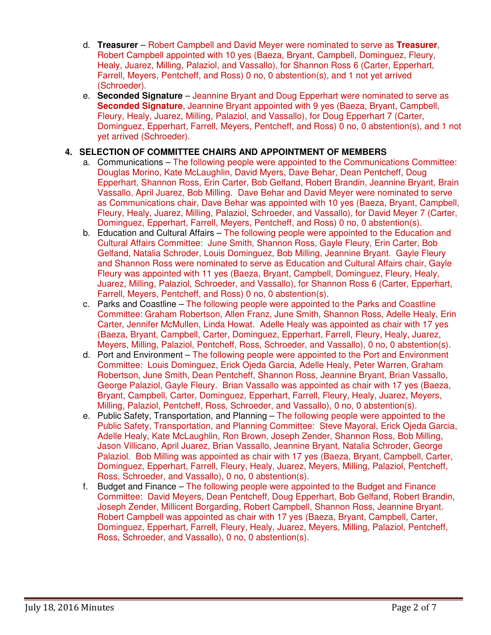- d. **Treasurer** Robert Campbell and David Meyer were nominated to serve as **Treasurer**, Robert Campbell appointed with 10 yes (Baeza, Bryant, Campbell, Dominguez, Fleury, Healy, Juarez, Milling, Palaziol, and Vassallo), for Shannon Ross 6 (Carter, Epperhart, Farrell, Meyers, Pentcheff, and Ross) 0 no, 0 abstention(s), and 1 not yet arrived (Schroeder).
- e. **Seconded Signature** Jeannine Bryant and Doug Epperhart were nominated to serve as **Seconded Signature**, Jeannine Bryant appointed with 9 yes (Baeza, Bryant, Campbell, Fleury, Healy, Juarez, Milling, Palaziol, and Vassallo), for Doug Epperhart 7 (Carter, Dominguez, Epperhart, Farrell, Meyers, Pentcheff, and Ross) 0 no, 0 abstention(s), and 1 not yet arrived (Schroeder).

# **4. SELECTION OF COMMITTEE CHAIRS AND APPOINTMENT OF MEMBERS**

- a. Communications The following people were appointed to the Communications Committee: Douglas Morino, Kate McLaughlin, David Myers, Dave Behar, Dean Pentcheff, Doug Epperhart, Shannon Ross, Erin Carter, Bob Gelfand, Robert Brandin, Jeannine Bryant, Brain Vassallo, April Juarez, Bob Milling. Dave Behar and David Meyer were nominated to serve as Communications chair, Dave Behar was appointed with 10 yes (Baeza, Bryant, Campbell, Fleury, Healy, Juarez, Milling, Palaziol, Schroeder, and Vassallo), for David Meyer 7 (Carter, Dominguez, Epperhart, Farrell, Meyers, Pentcheff, and Ross) 0 no, 0 abstention(s).
- b. Education and Cultural Affairs The following people were appointed to the Education and Cultural Affairs Committee: June Smith, Shannon Ross, Gayle Fleury, Erin Carter, Bob Gelfand, Natalia Schroder, Louis Dominguez, Bob Milling, Jeannine Bryant. Gayle Fleury and Shannon Ross were nominated to serve as Education and Cultural Affairs chair, Gayle Fleury was appointed with 11 yes (Baeza, Bryant, Campbell, Dominguez, Fleury, Healy, Juarez, Milling, Palaziol, Schroeder, and Vassallo), for Shannon Ross 6 (Carter, Epperhart, Farrell, Meyers, Pentcheff, and Ross) 0 no, 0 abstention(s).
- c. Parks and Coastline The following people were appointed to the Parks and Coastline Committee: Graham Robertson, Allen Franz, June Smith, Shannon Ross, Adelle Healy, Erin Carter, Jennifer McMullen, Linda Howat. Adelle Healy was appointed as chair with 17 yes (Baeza, Bryant, Campbell, Carter, Dominguez, Epperhart, Farrell, Fleury, Healy, Juarez, Meyers, Milling, Palaziol, Pentcheff, Ross, Schroeder, and Vassallo), 0 no, 0 abstention(s).
- d. Port and Environment The following people were appointed to the Port and Environment Committee: Louis Dominguez, Erick Ojeda Garcia, Adelle Healy, Peter Warren, Graham Robertson, June Smith, Dean Pentcheff, Shannon Ross, Jeannine Bryant, Brian Vassallo, George Palaziol, Gayle Fleury. Brian Vassallo was appointed as chair with 17 yes (Baeza, Bryant, Campbell, Carter, Dominguez, Epperhart, Farrell, Fleury, Healy, Juarez, Meyers, Milling, Palaziol, Pentcheff, Ross, Schroeder, and Vassallo), 0 no, 0 abstention(s).
- e. Public Safety, Transportation, and Planning  $-$  The following people were appointed to the Public Safety, Transportation, and Planning Committee: Steve Mayoral, Erick Ojeda Garcia, Adelle Healy, Kate McLaughlin, Ron Brown, Joseph Zender, Shannon Ross, Bob Milling, Jason Villicano, April Juarez, Brian Vassallo, Jeannine Bryant, Natalia Schroder, George Palaziol. Bob Milling was appointed as chair with 17 yes (Baeza, Bryant, Campbell, Carter, Dominguez, Epperhart, Farrell, Fleury, Healy, Juarez, Meyers, Milling, Palaziol, Pentcheff, Ross, Schroeder, and Vassallo), 0 no, 0 abstention(s).
- f. Budget and Finance The following people were appointed to the Budget and Finance Committee: David Meyers, Dean Pentcheff, Doug Epperhart, Bob Gelfand, Robert Brandin, Joseph Zender, Millicent Borgarding, Robert Campbell, Shannon Ross, Jeannine Bryant. Robert Campbell was appointed as chair with 17 yes (Baeza, Bryant, Campbell, Carter, Dominguez, Epperhart, Farrell, Fleury, Healy, Juarez, Meyers, Milling, Palaziol, Pentcheff, Ross, Schroeder, and Vassallo), 0 no, 0 abstention(s).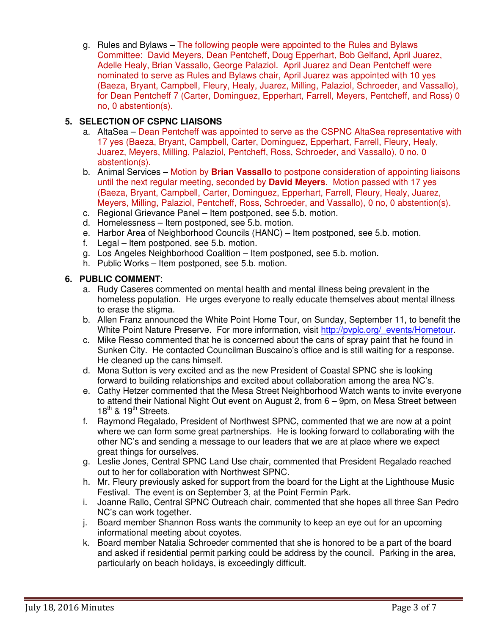g. Rules and Bylaws – The following people were appointed to the Rules and Bylaws Committee: David Meyers, Dean Pentcheff, Doug Epperhart, Bob Gelfand, April Juarez, Adelle Healy, Brian Vassallo, George Palaziol. April Juarez and Dean Pentcheff were nominated to serve as Rules and Bylaws chair, April Juarez was appointed with 10 yes (Baeza, Bryant, Campbell, Fleury, Healy, Juarez, Milling, Palaziol, Schroeder, and Vassallo), for Dean Pentcheff 7 (Carter, Dominguez, Epperhart, Farrell, Meyers, Pentcheff, and Ross) 0 no, 0 abstention(s).

## **5. SELECTION OF CSPNC LIAISONS**

- a. AltaSea Dean Pentcheff was appointed to serve as the CSPNC AltaSea representative with 17 yes (Baeza, Bryant, Campbell, Carter, Dominguez, Epperhart, Farrell, Fleury, Healy, Juarez, Meyers, Milling, Palaziol, Pentcheff, Ross, Schroeder, and Vassallo), 0 no, 0 abstention(s).
- b. Animal Services Motion by **Brian Vassallo** to postpone consideration of appointing liaisons until the next regular meeting, seconded by **David Meyers**. Motion passed with 17 yes (Baeza, Bryant, Campbell, Carter, Dominguez, Epperhart, Farrell, Fleury, Healy, Juarez, Meyers, Milling, Palaziol, Pentcheff, Ross, Schroeder, and Vassallo), 0 no, 0 abstention(s).
- c. Regional Grievance Panel Item postponed, see 5.b. motion.
- d. Homelessness Item postponed, see 5.b. motion.
- e. Harbor Area of Neighborhood Councils (HANC) Item postponed, see 5.b. motion.
- f. Legal Item postponed, see 5.b. motion.
- g. Los Angeles Neighborhood Coalition Item postponed, see 5.b. motion.
- h. Public Works Item postponed, see 5.b. motion.

### **6. PUBLIC COMMENT**:

- a. Rudy Caseres commented on mental health and mental illness being prevalent in the homeless population. He urges everyone to really educate themselves about mental illness to erase the stigma.
- b. Allen Franz announced the White Point Home Tour, on Sunday, September 11, to benefit the White Point Nature Preserve. For more information, visit http://pvplc.org/\_events/Hometour.
- c. Mike Resso commented that he is concerned about the cans of spray paint that he found in Sunken City. He contacted Councilman Buscaino's office and is still waiting for a response. He cleaned up the cans himself.
- d. Mona Sutton is very excited and as the new President of Coastal SPNC she is looking forward to building relationships and excited about collaboration among the area NC's.
- e. Cathy Hetzer commented that the Mesa Street Neighborhood Watch wants to invite everyone to attend their National Night Out event on August 2, from 6 – 9pm, on Mesa Street between 18<sup>th</sup> & 19<sup>th</sup> Streets.
- f. Raymond Regalado, President of Northwest SPNC, commented that we are now at a point where we can form some great partnerships. He is looking forward to collaborating with the other NC's and sending a message to our leaders that we are at place where we expect great things for ourselves.
- g. Leslie Jones, Central SPNC Land Use chair, commented that President Regalado reached out to her for collaboration with Northwest SPNC.
- h. Mr. Fleury previously asked for support from the board for the Light at the Lighthouse Music Festival. The event is on September 3, at the Point Fermin Park.
- i. Joanne Rallo, Central SPNC Outreach chair, commented that she hopes all three San Pedro NC's can work together.
- j. Board member Shannon Ross wants the community to keep an eye out for an upcoming informational meeting about coyotes.
- k. Board member Natalia Schroeder commented that she is honored to be a part of the board and asked if residential permit parking could be address by the council. Parking in the area, particularly on beach holidays, is exceedingly difficult.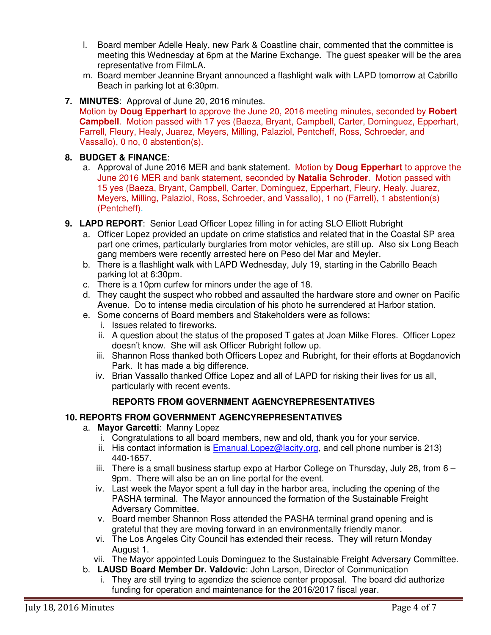- l. Board member Adelle Healy, new Park & Coastline chair, commented that the committee is meeting this Wednesday at 6pm at the Marine Exchange. The guest speaker will be the area representative from FilmLA.
- m. Board member Jeannine Bryant announced a flashlight walk with LAPD tomorrow at Cabrillo Beach in parking lot at 6:30pm.
- **7. MINUTES**: Approval of June 20, 2016 minutes.

Motion by **Doug Epperhart** to approve the June 20, 2016 meeting minutes, seconded by **Robert Campbell**. Motion passed with 17 yes (Baeza, Bryant, Campbell, Carter, Dominguez, Epperhart, Farrell, Fleury, Healy, Juarez, Meyers, Milling, Palaziol, Pentcheff, Ross, Schroeder, and Vassallo), 0 no, 0 abstention(s).

### **8. BUDGET & FINANCE**:

- a. Approval of June 2016 MER and bank statement. Motion by **Doug Epperhart** to approve the June 2016 MER and bank statement, seconded by **Natalia Schroder**. Motion passed with 15 yes (Baeza, Bryant, Campbell, Carter, Dominguez, Epperhart, Fleury, Healy, Juarez, Meyers, Milling, Palaziol, Ross, Schroeder, and Vassallo), 1 no (Farrell), 1 abstention(s) (Pentcheff).
- **9. LAPD REPORT**: Senior Lead Officer Lopez filling in for acting SLO Elliott Rubright
	- a. Officer Lopez provided an update on crime statistics and related that in the Coastal SP area part one crimes, particularly burglaries from motor vehicles, are still up. Also six Long Beach gang members were recently arrested here on Peso del Mar and Meyler.
	- b. There is a flashlight walk with LAPD Wednesday, July 19, starting in the Cabrillo Beach parking lot at 6:30pm.
	- c. There is a 10pm curfew for minors under the age of 18.
	- d. They caught the suspect who robbed and assaulted the hardware store and owner on Pacific Avenue. Do to intense media circulation of his photo he surrendered at Harbor station.
	- e. Some concerns of Board members and Stakeholders were as follows:
		- i. Issues related to fireworks.
		- ii. A question about the status of the proposed T gates at Joan Milke Flores. Officer Lopez doesn't know. She will ask Officer Rubright follow up.
		- iii. Shannon Ross thanked both Officers Lopez and Rubright, for their efforts at Bogdanovich Park. It has made a big difference.
		- iv. Brian Vassallo thanked Office Lopez and all of LAPD for risking their lives for us all, particularly with recent events.

### **REPORTS FROM GOVERNMENT AGENCYREPRESENTATIVES**

### **10. REPORTS FROM GOVERNMENT AGENCYREPRESENTATIVES**

- a. **Mayor Garcetti**: Manny Lopez
	- i. Congratulations to all board members, new and old, thank you for your service.
	- ii. His contact information is  $E$ manual. Lopez@lacity.org, and cell phone number is 213) 440-1657.
	- iii. There is a small business startup expo at Harbor College on Thursday, July 28, from  $6 -$ 9pm. There will also be an on line portal for the event.
	- iv. Last week the Mayor spent a full day in the harbor area, including the opening of the PASHA terminal. The Mayor announced the formation of the Sustainable Freight Adversary Committee.
	- v. Board member Shannon Ross attended the PASHA terminal grand opening and is grateful that they are moving forward in an environmentally friendly manor.
	- vi. The Los Angeles City Council has extended their recess. They will return Monday August 1.
	- vii. The Mayor appointed Louis Dominguez to the Sustainable Freight Adversary Committee.
- b. **LAUSD Board Member Dr. Valdovic**: John Larson, Director of Communication
	- i. They are still trying to agendize the science center proposal. The board did authorize funding for operation and maintenance for the 2016/2017 fiscal year.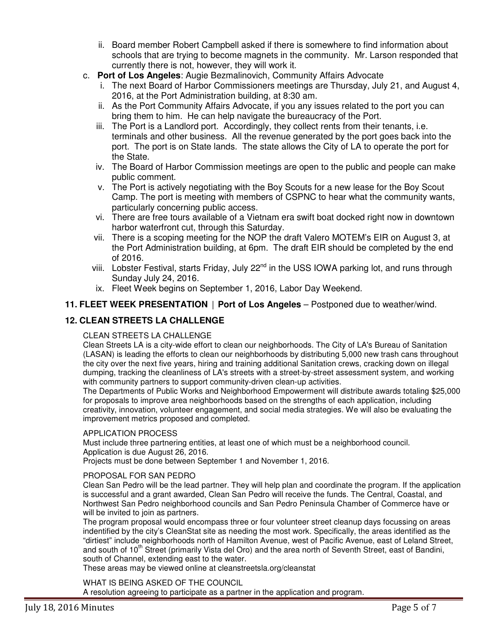- ii. Board member Robert Campbell asked if there is somewhere to find information about schools that are trying to become magnets in the community. Mr. Larson responded that currently there is not, however, they will work it.
- c. **Port of Los Angeles**: Augie Bezmalinovich, Community Affairs Advocate
	- i. The next Board of Harbor Commissioners meetings are Thursday, July 21, and August 4, 2016, at the Port Administration building, at 8:30 am.
	- ii. As the Port Community Affairs Advocate, if you any issues related to the port you can bring them to him. He can help navigate the bureaucracy of the Port.
	- iii. The Port is a Landlord port. Accordingly, they collect rents from their tenants, i.e. terminals and other business. All the revenue generated by the port goes back into the port. The port is on State lands. The state allows the City of LA to operate the port for the State.
	- iv. The Board of Harbor Commission meetings are open to the public and people can make public comment.
	- v. The Port is actively negotiating with the Boy Scouts for a new lease for the Boy Scout Camp. The port is meeting with members of CSPNC to hear what the community wants, particularly concerning public access.
	- vi. There are free tours available of a Vietnam era swift boat docked right now in downtown harbor waterfront cut, through this Saturday.
	- vii. There is a scoping meeting for the NOP the draft Valero MOTEM's EIR on August 3, at the Port Administration building, at 6pm. The draft EIR should be completed by the end of 2016.
	- viii. Lobster Festival, starts Friday, July 22<sup>nd</sup> in the USS IOWA parking lot, and runs through Sunday July 24, 2016.
	- ix. Fleet Week begins on September 1, 2016, Labor Day Weekend.

## **11. FLEET WEEK PRESENTATION** | **Port of Los Angeles** – Postponed due to weather/wind.

# **12. CLEAN STREETS LA CHALLENGE**

#### CLEAN STREETS LA CHALLENGE

Clean Streets LA is a city-wide effort to clean our neighborhoods. The City of LA's Bureau of Sanitation (LASAN) is leading the efforts to clean our neighborhoods by distributing 5,000 new trash cans throughout the city over the next five years, hiring and training additional Sanitation crews, cracking down on illegal dumping, tracking the cleanliness of LA's streets with a street-by-street assessment system, and working with community partners to support community-driven clean-up activities.

The Departments of Public Works and Neighborhood Empowerment will distribute awards totaling \$25,000 for proposals to improve area neighborhoods based on the strengths of each application, including creativity, innovation, volunteer engagement, and social media strategies. We will also be evaluating the improvement metrics proposed and completed.

#### APPLICATION PROCESS

Must include three partnering entities, at least one of which must be a neighborhood council. Application is due August 26, 2016.

Projects must be done between September 1 and November 1, 2016.

#### PROPOSAL FOR SAN PEDRO

Clean San Pedro will be the lead partner. They will help plan and coordinate the program. If the application is successful and a grant awarded, Clean San Pedro will receive the funds. The Central, Coastal, and Northwest San Pedro neighborhood councils and San Pedro Peninsula Chamber of Commerce have or will be invited to join as partners.

The program proposal would encompass three or four volunteer street cleanup days focussing on areas indentified by the city's CleanStat site as needing the most work. Specifically, the areas identified as the "dirtiest" include neighborhoods north of Hamilton Avenue, west of Pacific Avenue, east of Leland Street, and south of 10<sup>th</sup> Street (primarily Vista del Oro) and the area north of Seventh Street, east of Bandini, south of Channel, extending east to the water.

These areas may be viewed online at cleanstreetsla.org/cleanstat

WHAT IS BEING ASKED OF THE COUNCIL A resolution agreeing to participate as a partner in the application and program.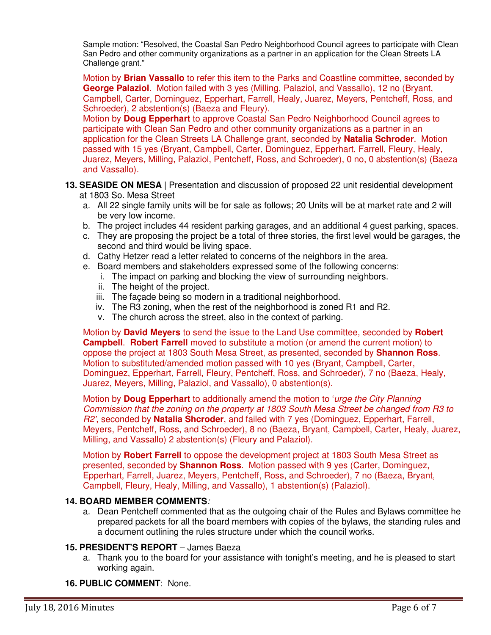Sample motion: "Resolved, the Coastal San Pedro Neighborhood Council agrees to participate with Clean San Pedro and other community organizations as a partner in an application for the Clean Streets LA Challenge grant."

Motion by **Brian Vassallo** to refer this item to the Parks and Coastline committee, seconded by **George Palaziol**. Motion failed with 3 yes (Milling, Palaziol, and Vassallo), 12 no (Bryant, Campbell, Carter, Dominguez, Epperhart, Farrell, Healy, Juarez, Meyers, Pentcheff, Ross, and Schroeder), 2 abstention(s) (Baeza and Fleury).

Motion by **Doug Epperhart** to approve Coastal San Pedro Neighborhood Council agrees to participate with Clean San Pedro and other community organizations as a partner in an application for the Clean Streets LA Challenge grant, seconded by **Natalia Schroder**. Motion passed with 15 yes (Bryant, Campbell, Carter, Dominguez, Epperhart, Farrell, Fleury, Healy, Juarez, Meyers, Milling, Palaziol, Pentcheff, Ross, and Schroeder), 0 no, 0 abstention(s) (Baeza and Vassallo).

## **13. SEASIDE ON MESA** | Presentation and discussion of proposed 22 unit residential development

- at 1803 So. Mesa Street
- a. All 22 single family units will be for sale as follows; 20 Units will be at market rate and 2 will be very low income.
- b. The project includes 44 resident parking garages, and an additional 4 guest parking, spaces.
- c. They are proposing the project be a total of three stories, the first level would be garages, the second and third would be living space.
- d. Cathy Hetzer read a letter related to concerns of the neighbors in the area.
- e. Board members and stakeholders expressed some of the following concerns:
	- i. The impact on parking and blocking the view of surrounding neighbors.
	- ii. The height of the project.
	- iii. The façade being so modern in a traditional neighborhood.
	- iv. The R3 zoning, when the rest of the neighborhood is zoned R1 and R2.
	- v. The church across the street, also in the context of parking.

Motion by **David Meyers** to send the issue to the Land Use committee, seconded by **Robert Campbell**. **Robert Farrell** moved to substitute a motion (or amend the current motion) to oppose the project at 1803 South Mesa Street, as presented, seconded by **Shannon Ross**. Motion to substituted/amended motion passed with 10 yes (Bryant, Campbell, Carter, Dominguez, Epperhart, Farrell, Fleury, Pentcheff, Ross, and Schroeder), 7 no (Baeza, Healy, Juarez, Meyers, Milling, Palaziol, and Vassallo), 0 abstention(s).

Motion by **Doug Epperhart** to additionally amend the motion to 'urge the City Planning Commission that the zoning on the property at 1803 South Mesa Street be changed from R3 to R2', seconded by **Natalia Shcroder**, and failed with 7 yes (Dominguez, Epperhart, Farrell, Meyers, Pentcheff, Ross, and Schroeder), 8 no (Baeza, Bryant, Campbell, Carter, Healy, Juarez, Milling, and Vassallo) 2 abstention(s) (Fleury and Palaziol).

Motion by **Robert Farrell** to oppose the development project at 1803 South Mesa Street as presented, seconded by **Shannon Ross**. Motion passed with 9 yes (Carter, Dominguez, Epperhart, Farrell, Juarez, Meyers, Pentcheff, Ross, and Schroeder), 7 no (Baeza, Bryant, Campbell, Fleury, Healy, Milling, and Vassallo), 1 abstention(s) (Palaziol).

### **14. BOARD MEMBER COMMENTS**:

a. Dean Pentcheff commented that as the outgoing chair of the Rules and Bylaws committee he prepared packets for all the board members with copies of the bylaws, the standing rules and a document outlining the rules structure under which the council works.

### **15. PRESIDENT'S REPORT** – James Baeza

a. Thank you to the board for your assistance with tonight's meeting, and he is pleased to start working again.

### **16. PUBLIC COMMENT**: None.